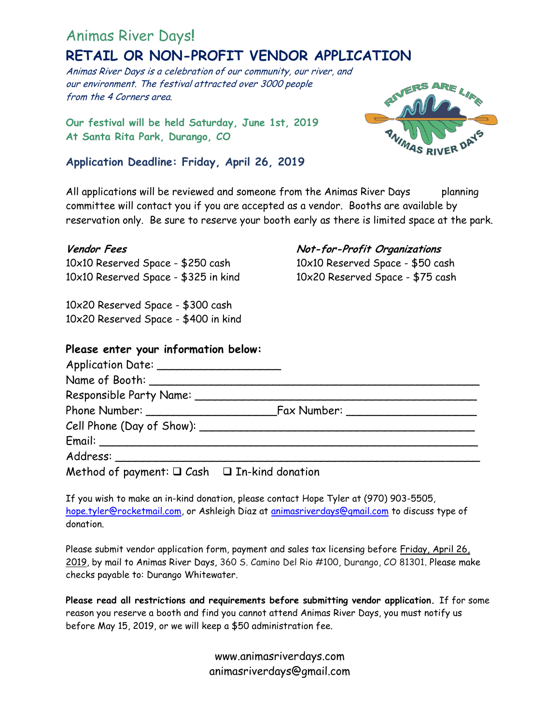# Animas River Days**!**

# **RETAIL OR NON-PROFIT VENDOR APPLICATION**

Animas River Days is a celebration of our community, our river, and our environment. The festival attracted over 3000 people from the 4 Corners area.

**Our festival will be held Saturday, June 1st, 2019 At Santa Rita Park, Durango, CO**

## **Application Deadline: Friday, April 26, 2019**



All applications will be reviewed and someone from the Animas River Days planning committee will contact you if you are accepted as a vendor. Booths are available by reservation only. Be sure to reserve your booth early as there is limited space at the park.

10x10 Reserved Space - \$250 cash 10x10 Reserved Space - \$50 cash 10x10 Reserved Space - \$325 in kind 10x20 Reserved Space - \$75 cash

10x20 Reserved Space - \$300 cash 10x20 Reserved Space - \$400 in kind

### **Vendor Fees Not-for-Profit Organizations**

## **Please enter your information below:**

| Method of payment: $\Box$ Cash $\Box$ In-kind donation |  |
|--------------------------------------------------------|--|

If you wish to make an in-kind donation, please contact Hope Tyler at (970) 903-5505, [hope.tyler@rocketmail.com,](mailto:hope.tyler@rocketmail.com) or Ashleigh Diaz at [animasriverdays@gmail.com](mailto:animasriverdays@gmail.com) to discuss type of donation.

Please submit vendor application form, payment and sales tax licensing before Friday, April 26, 2019, by mail to Animas River Days, 360 S. Camino Del Rio #100, Durango, CO 81301. Please make checks payable to: Durango Whitewater.

**Please read all restrictions and requirements before submitting vendor application.** If for some reason you reserve a booth and find you cannot attend Animas River Days, you must notify us before May 15, 2019, or we will keep a \$50 administration fee.

> www.animasriverdays.com animasriverdays@gmail.com